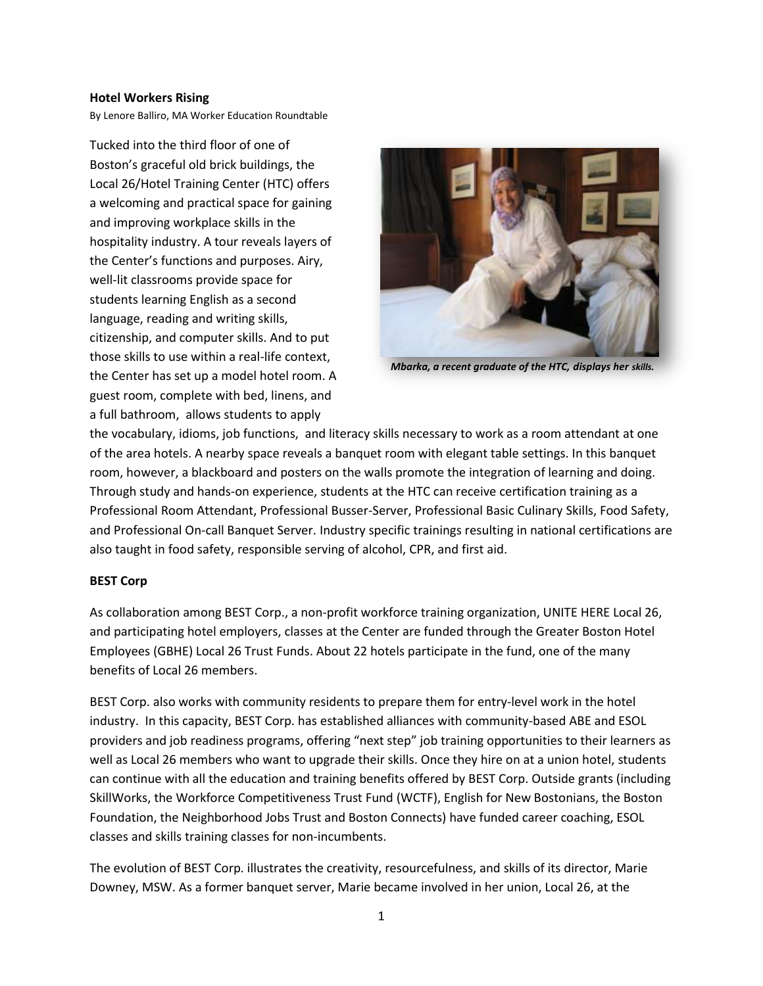## **Hotel Workers Rising**

By Lenore Balliro, MA Worker Education Roundtable

Tucked into the third floor of one of Boston's graceful old brick buildings, the Local 26/Hotel Training Center (HTC) offers a welcoming and practical space for gaining and improving workplace skills in the hospitality industry. A tour reveals layers of the Center's functions and purposes. Airy, well-lit classrooms provide space for students learning English as a second language, reading and writing skills, citizenship, and computer skills. And to put those skills to use within a real-life context, the Center has set up a model hotel room. A guest room, complete with bed, linens, and a full bathroom, allows students to apply



*Mbarka, a recent graduate of the HTC, displays her skills.*

the vocabulary, idioms, job functions, and literacy skills necessary to work as a room attendant at one of the area hotels. A nearby space reveals a banquet room with elegant table settings. In this banquet room, however, a blackboard and posters on the walls promote the integration of learning and doing. Through study and hands-on experience, students at the HTC can receive certification training as a Professional Room Attendant, Professional Busser-Server, Professional Basic Culinary Skills, Food Safety, and Professional On-call Banquet Server. Industry specific trainings resulting in national certifications are also taught in food safety, responsible serving of alcohol, CPR, and first aid.

## **BEST Corp**

As collaboration among BEST Corp., a non-profit workforce training organization, UNITE HERE Local 26, and participating hotel employers, classes at the Center are funded through the Greater Boston Hotel Employees (GBHE) Local 26 Trust Funds. About 22 hotels participate in the fund, one of the many benefits of Local 26 members.

BEST Corp. also works with community residents to prepare them for entry-level work in the hotel industry. In this capacity, BEST Corp. has established alliances with community-based ABE and ESOL providers and job readiness programs, offering "next step" job training opportunities to their learners as well as Local 26 members who want to upgrade their skills. Once they hire on at a union hotel, students can continue with all the education and training benefits offered by BEST Corp. Outside grants (including SkillWorks, the Workforce Competitiveness Trust Fund (WCTF), English for New Bostonians, the Boston Foundation, the Neighborhood Jobs Trust and Boston Connects) have funded career coaching, ESOL classes and skills training classes for non-incumbents.

The evolution of BEST Corp. illustrates the creativity, resourcefulness, and skills of its director, Marie Downey, MSW. As a former banquet server, Marie became involved in her union, Local 26, at the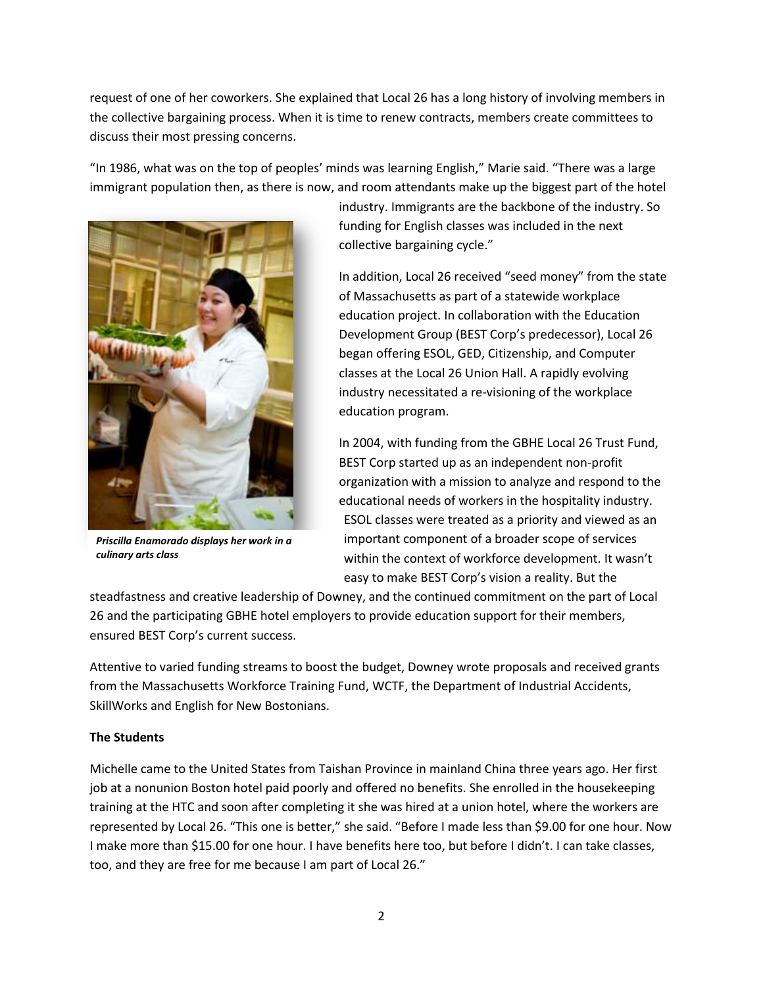request of one of her coworkers. She explained that Local 26 has a long history of involving members in the collective bargaining process. When it is time to renew contracts, members create committees to discuss their most pressing concerns.

"In 1986, what was on the top of peoples' minds was learning English," Marie said. "There was a large immigrant population then, as there is now, and room attendants make up the biggest part of the hotel



*Priscilla Enamorado displays her work in a culinary arts class*

industry. Immigrants are the backbone of the industry. So funding for English classes was included in the next collective bargaining cycle."

In addition, Local 26 received "seed money" from the state of Massachusetts as part of a statewide workplace education project. In collaboration with the Education Development Group (BEST Corp's predecessor), Local 26 began offering ESOL, GED, Citizenship, and Computer classes at the Local 26 Union Hall. A rapidly evolving industry necessitated a re-visioning of the workplace education program.

In 2004, with funding from the GBHE Local 26 Trust Fund, BEST Corp started up as an independent non-profit organization with a mission to analyze and respond to the educational needs of workers in the hospitality industry. ESOL classes were treated as a priority and viewed as an important component of a broader scope of services within the context of workforce development. It wasn't easy to make BEST Corp's vision a reality. But the

steadfastness and creative leadership of Downey, and the continued commitment on the part of Local 26 and the participating GBHE hotel employers to provide education support for their members, ensured BEST Corp's current success.

Attentive to varied funding streams to boost the budget, Downey wrote proposals and received grants from the Massachusetts Workforce Training Fund, WCTF, the Department of Industrial Accidents, SkillWorks and English for New Bostonians.

## **The Students**

Michelle came to the United States from Taishan Province in mainland China three years ago. Her first job at a nonunion Boston hotel paid poorly and offered no benefits. She enrolled in the housekeeping training at the HTC and soon after completing it she was hired at a union hotel, where the workers are represented by Local 26. "This one is better," she said. "Before I made less than \$9.00 for one hour. Now I make more than \$15.00 for one hour. I have benefits here too, but before I didn't. I can take classes, too, and they are free for me because I am part of Local 26."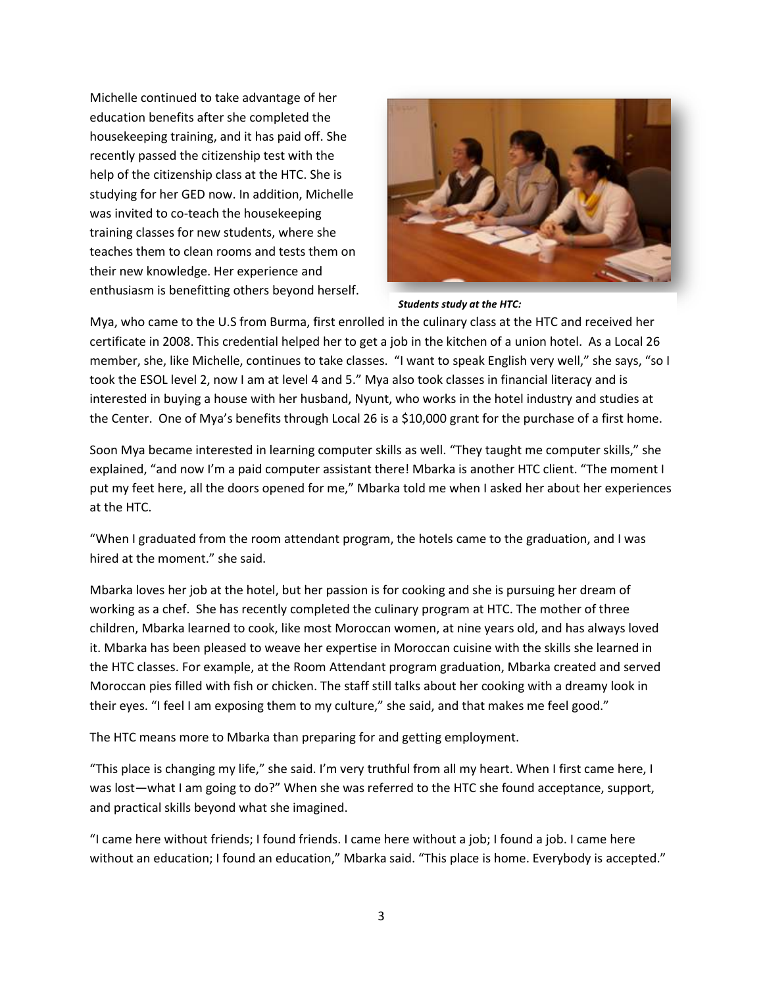Michelle continued to take advantage of her education benefits after she completed the housekeeping training, and it has paid off. She recently passed the citizenship test with the help of the citizenship class at the HTC. She is studying for her GED now. In addition, Michelle was invited to co-teach the housekeeping training classes for new students, where she teaches them to clean rooms and tests them on their new knowledge. Her experience and enthusiasm is benefitting others beyond herself.



*Students study at the HTC:* 

Mya, who came to the U.S from Burma, first enrolled in the culinary class at the HTC and received her certificate in 2008. This credential helped her to get a job in the kitchen of a union hotel. As a Local 26 member, she, like Michelle, continues to take classes. "I want to speak English very well," she says, "so I took the ESOL level 2, now I am at level 4 and 5." Mya also took classes in financial literacy and is interested in buying a house with her husband, Nyunt, who works in the hotel industry and studies at the Center. One of Mya's benefits through Local 26 is a \$10,000 grant for the purchase of a first home.

Soon Mya became interested in learning computer skills as well. "They taught me computer skills," she explained, "and now I'm a paid computer assistant there! Mbarka is another HTC client. "The moment I put my feet here, all the doors opened for me," Mbarka told me when I asked her about her experiences at the HTC.

"When I graduated from the room attendant program, the hotels came to the graduation, and I was hired at the moment." she said.

Mbarka loves her job at the hotel, but her passion is for cooking and she is pursuing her dream of working as a chef. She has recently completed the culinary program at HTC. The mother of three children, Mbarka learned to cook, like most Moroccan women, at nine years old, and has always loved it. Mbarka has been pleased to weave her expertise in Moroccan cuisine with the skills she learned in the HTC classes. For example, at the Room Attendant program graduation, Mbarka created and served Moroccan pies filled with fish or chicken. The staff still talks about her cooking with a dreamy look in their eyes. "I feel I am exposing them to my culture," she said, and that makes me feel good."

The HTC means more to Mbarka than preparing for and getting employment.

"This place is changing my life," she said. I'm very truthful from all my heart. When I first came here, I was lost—what I am going to do?" When she was referred to the HTC she found acceptance, support, and practical skills beyond what she imagined.

"I came here without friends; I found friends. I came here without a job; I found a job. I came here without an education; I found an education," Mbarka said. "This place is home. Everybody is accepted."